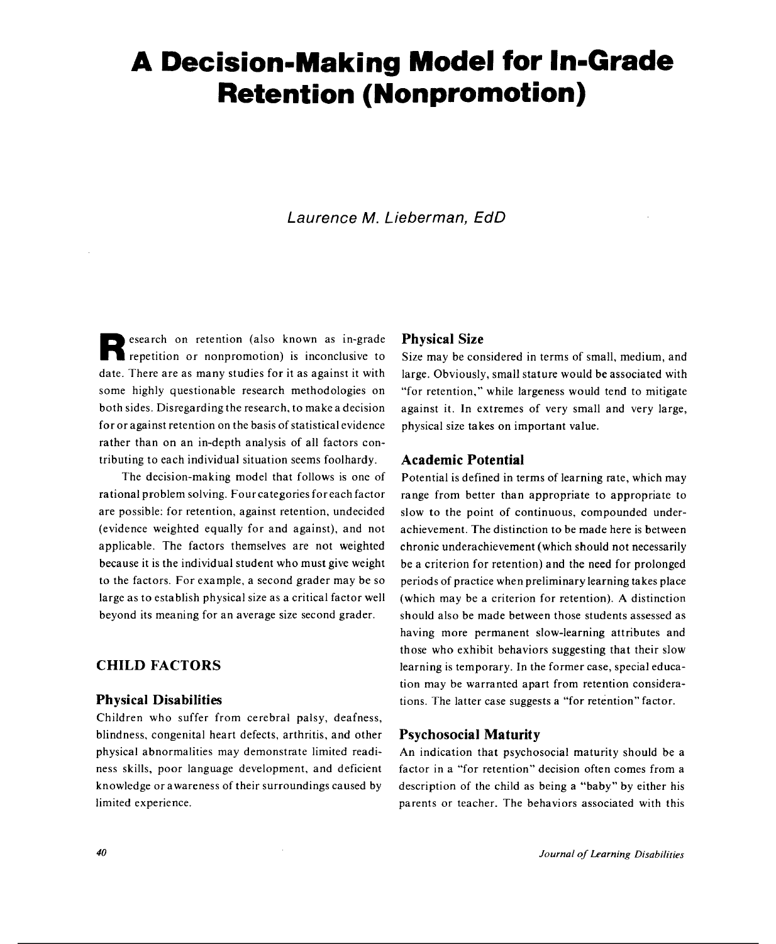# A Decision-Making Model for In-Grade Retention (Nonpromotion)

## Laurence M. Lieberman, EdD

R esearch on retention (also known as in-grade<br>R repetition or nonpromotion) is inconclusive to date. There are as many studies for it as against it with some highly questionable research methodologies on both sides. Disregarding the research, to make a decision for oragainst retention on the basis of statistical evidence rather than on an in-depth analysis of all factors contributing to each individual situation seems foolhardy.

The decision-making model that follows is one of rational problem solving. Fourcategories foreach factor are possible: for retention, against retention, undecided (evidence weighted equally for and against), and not applicable. The factors themselves are not weighted because it is the individual student who must give weight to the factors. For example, a second grader may be so large as to establish physical size as a critical factor well beyond its meaning for an average size second grader.

## CHILD FACTORS

#### Physical Disabilities

Children who suffer from cerebral palsy, deafness, blindness, congenital heart defects, arthritis, and other physical abnormalities may demonstrate limited readiness skills, poor language development, and deficient knowledge or awareness of their surroundings caused by limited experience.

#### Physical Size

Size may be considered in terms of small, medium, and large. Obviously, small stature would be associated with "for retention," while largeness would tend to mitigate against it. In extremes of very small and very large, physical size takes on important value.

## Academic Potential

Potential is defined in terms of learning rate, which may range from better than appropriate to appropriate to slow to the point of continuous, compounded underachievement. The distinction to be made here is between chronic underachievement (which should not necessarily be a criterion for retention) and the need for prolonged periods of practice when preliminary learning takes place (which may be a criterion for retention). A distinction should also be made between those students assessed as having more permanent slow-learning attributes and those who exhibit behaviors suggesting that their slow learning is temporary. In the former case, special education may be warranted apart from retention considerations. The latter case suggests a "for retention" factor.

## Psychosocial Maturity

An indication that psychosocial maturity should be a factor in a "for retention" decision often comes from a description of the child as being a "baby" by either his parents or teacher. The behaviors associated with this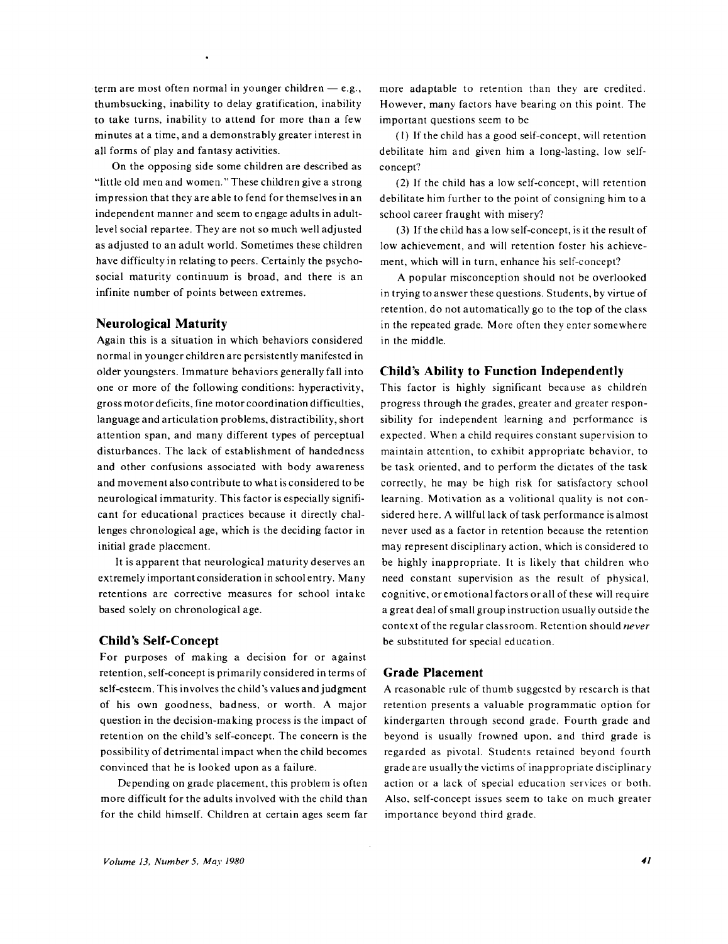term are most often normal in younger children  $-$  e.g., thumbsucking, inability to delay gratification, inability to take turns, inability to attend for more than a few minutes at a time, and a demonstrably greater interest in all forms of play and fantasy activities.

On the opposing side some children are described as "little old men and women." These children give a strong impression that they are able to fend for themselves in an independent manner and seem to engage adults in adultlevel social repartee. They are not so much well adjusted as adjusted to an adult world. Sometimes these children have difficulty in relating to peers. Certainly the psychosocial maturity continuum is broad, and there is an infinite number of points between extremes.

## Neurological Maturity

Again this is a situation in which behaviors considered normal in younger children are persistently manifested in older youngsters. Immature behaviors generally fall into one or more of the following conditions: hyperactivity, gross motor deficits, fine motor coordination difficulties, language and articulation problems, distractibility, short attention span, and many different types of perceptual disturbances. The lack of establishment of handedness and other confusions associated with body awareness and movement also contribute to what is considered to be neurological immaturity. This factor is especially significant for educational practices because it directly challenges chronological age, which is the deciding factor in initial grade placement.

It is apparent that neurological maturity deserves an extremely important consideration in school entry. Many retentions are corrective measures for school intake based solely on chronological age.

## Child's Self-Concept

For purposes of making a decision for or against retention, self-concept is primarily considered in terms of self-esteem. This involves the child's values and judgment of his own goodness, badness, or worth. A major question in the decision-making process is the impact of retention on the child's self-concept. The concern is the possibility of detrimental impact when the child becomes convinced that he is looked upon as a failure.

Depending on grade placement, this problem is often more difficult for the adults involved with the child than for the child himself. Children at certain ages seem far more adaptable to retention than they are credited. However, many factors have bearing on this point. The important questions seem to be

( 1) If the child has a good self-concept, will retention debilitate him and given him a long-lasting, low selfconcept?

(2) If the child has a low self-concept, will retention debilitate him further to the point of consigning him to a school career fraught with misery?

(3) If the child has a low self-concept, is it the result of low achievement, and will retention foster his achievement, which will in turn, enhance his self-concept?

A popular misconception should not be overlooked in trying to answer these questions. Students, by virtue of retention, do not automatically go to the top of the class in the repeated grade. More often they enter somewhere in the middle.

#### Child's Ability to Function Independently

This factor is highly significant because as children progress through the grades, greater and greater responsibility for independent learning and performance is expected. When a child requires constant supervision to maintain attention, to exhibit appropriate behavior, to be task oriented, and to perform the dictates of the task correctly, he may be high risk for satisfactory school learning. Motivation as a volitional quality is not considered here. A willful lack of task performance is almost never used as a factor in retention because the retention may represent disciplinary action, which is considered to be highly inappropriate. It is likely that children who need constant supervision as the result of physical, cognitive, or emotional factors or all of these will require a great deal of small group instruction usually outside the context of the regular classroom. Retention should never be substituted for special education.

## Grade Placement

A reasonable rule of thumb suggested by research is that retention presents a valuable programmatic option for kindergarten through second grade. Fourth grade and beyond is usually frowned upon, and third grade is regarded as pivotal. Students retained beyond fourth grade are usually the victims of inappropriate disciplinary action or a lack of special education services or both. Also, self-concept issues seem to take on much greater importance beyond third grade.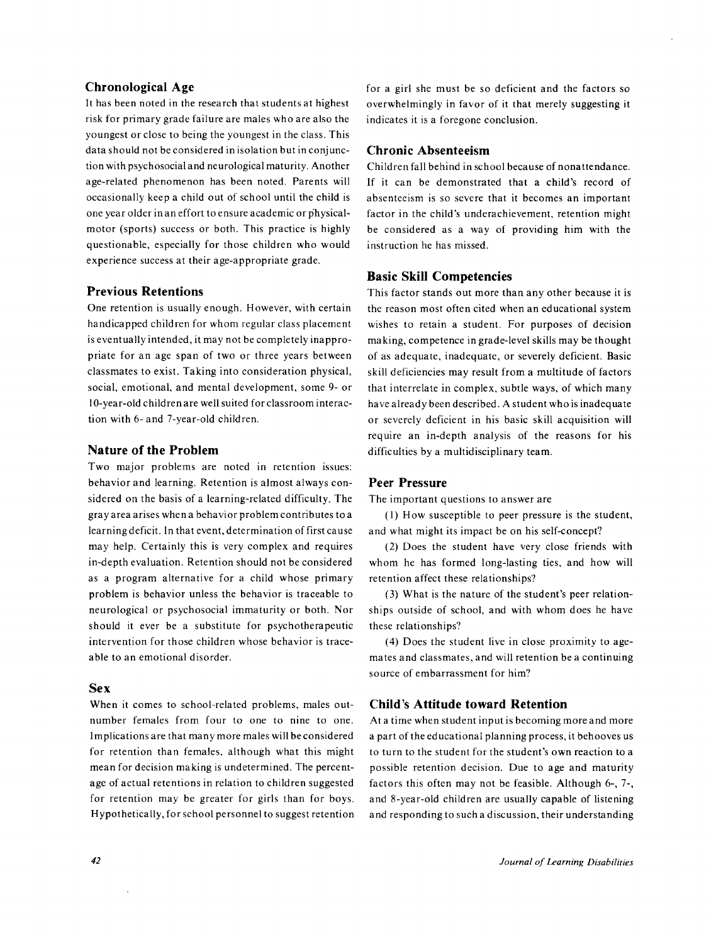## Chronological Age

It has been noted in the research that students at highest risk for primary grade failure are males who are also the youngest or close to being the youngest in the class. This data should not be considered in isolation but in conjunction with psychosocial and neurological maturity. Another age-related phenomenon has been noted. Parents will occasionally keep a child out of school until the child is one year older in an effort to ensure academic or physicalmotor (sports) success or both. This practice is highly questionable, especially for those children who would experience success at their age-appropriate grade.

## Previous Retentions

One retention is usually enough. However, with certain handicapped children for whom regular class placement is eventually intended, it may not be completely inappropriate for an age span of two or three years between classmates to exist. Taking into consideration physical, social, emotional, and mental development, some 9- or 10-year-old children are well suited for classroom interaction with 6- and 7-year-old children.

## Nature of the Problem

Two major problems are noted in retention issues: behavior and learning. Retention is almost always considered on the basis of a learning-related difficulty. The gray area arises when a behavior problem contributes to a learning deficit. In that event, determination of first cause may help. Certainly this is very complex and requires in-depth evaluation. Retention should not be considered as a program alternative for a child whose primary problem is behavior unless the behavior is traceable to neurological or psychosocial immaturity or both. Nor should it ever be a substitute for psychotherapeutic intervention for those children whose behavior is traceable to an emotional disorder.

## Sex

When it comes to school-related problems, males outnumber females from four to one to nine to one. Implications are that many more males will be considered for retention than females, although what this might mean for decision making is undetermined. The percentage of actual retentions in relation to children suggested for retention may be greater for girls than for boys. Hypothetically, for school personnel to suggest retention for a girl she must be so deficient and the factors so overwhelmingly in favor of it that merely suggesting it indicates it is a foregone conclusion.

#### Chronic Absenteeism

Children fall behind in school because of nonattendance. If it can be demonstrated that a child's record of absenteeism is so severe that it becomes an important factor in the child's underachievement, retention might be considered as a way of providing him with the instruction he has missed.

#### Basic Skill Competencies

This factor stands out more than any other because it is the reason most often cited when an educational system wishes to retain a student. For purposes of decision making, competence in grade-level skills may be thought of as adequate, inadequate, or severely deficient. Basic skill deficiencies may result from a multitude of factors that interrelate in complex, subtle ways, of which many have already been described. A student who is inadequate or severely deficient in his basic skill acquisition will require an in-depth analysis of the reasons for his difficulties by a multidisciplinary team.

#### Peer Pressure

The important questions to answer are

( 1) How susceptible to peer pressure is the student, and what might its impact be on his self-concept?

(2) Does the student have very close friends with whom he has formed long-lasting ties, and how will retention affect these relationships?

(3) What is the nature of the student's peer relationships outside of school, and with whom does he have these relationships?

(4) Does the student live in close proximity to agemates and classmates, and will retention be a continuing source of embarrassment for him?

## Child's Attitude toward Retention

At a time when student input is becoming more and more a part of the educational planning process, it behooves us to turn to the student for the student's own reaction to a possible retention decision. Due to age and maturity factors this often may not be feasible. Although 6-, 7-, and 8-year-old children are usually capable of listening and responding to such a discussion, their understanding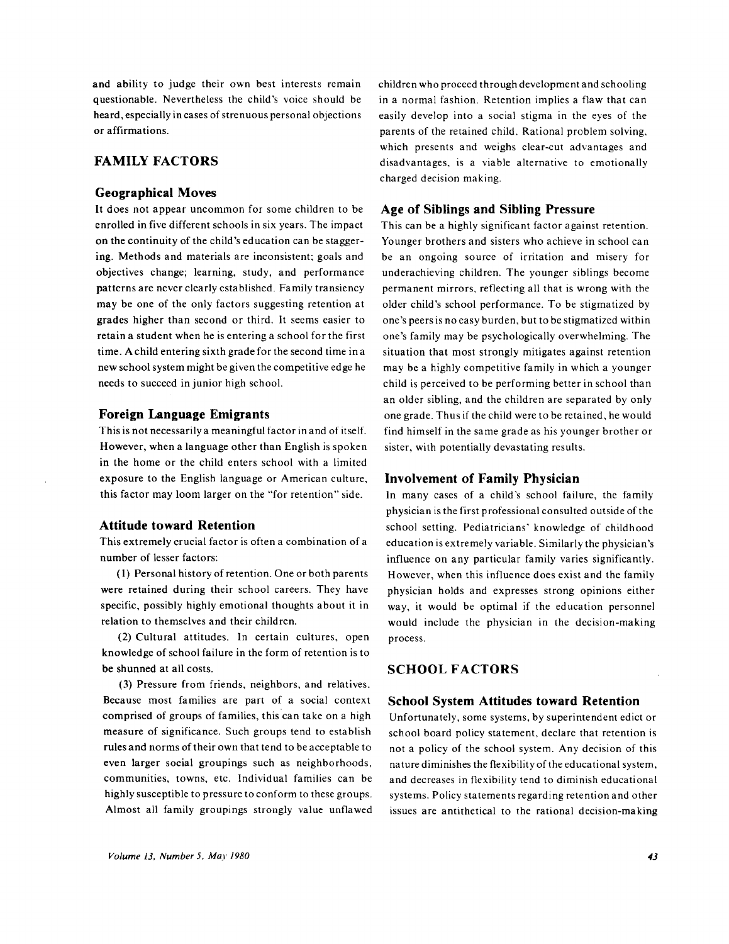and ability to judge their own best interests remain questionable. Nevertheless the child's voice should be heard, especially in cases of strenuous personal objections or affirmations.

## FAMILY FACTORS

## Geographical Moves

It does not appear uncommon for some children to be enrolled in five different schools in six years. The impact on the continuity of the child's education can be staggering. Methods and materials are inconsistent; goals and objectives change; learning, study, and performance patterns are never clearly established. Family transiency may be one of the only factors suggesting retention at grades higher than second or third. It seems easier to retain a student when he is entering a school for the first time. A child entering sixth grade for the second time in a new school system might be given the competitive edge he needs to succeed in junior high school.

## Foreign Language Emigrants

This is not necessarily a meaningful factor in and of itself. However, when a language other than English is spoken in the home or the child enters school with a limited exposure to the English language or American culture, this factor may loom larger on the "for retention" side.

## Attitude toward Retention

This extremely crucial factor is often a combination of a number of lesser factors:

(1) Personal history of retention. One or both parents were retained during their school careers. They have specific, possibly highly emotional thoughts about it in relation to themselves and their children.

(2) Cultural attitudes. In certain cultures, open knowledge of school failure in the form of retention is to be shunned at all costs.

(3) Pressure from friends, neighbors, and relatives. Because most families are part of a social context comprised of groups of families, this can take on a high measure of significance. Such groups tend to establish rules and norms of their own that tend to be acceptable to even larger social groupings such as neighborhoods, communities, towns, etc. Individual families can be highly susceptible to pressure to conform to these groups. Almost all family groupings strongly value unflawed

children who proceed through development and schooling in a normal fashion. Retention implies a flaw that can easily develop into a social stigma in the eyes of the parents of the retained child. Rational problem solving, which presents and weighs clear-cut advantages and disadvantages, is a viable alternative to emotionally charged decision making.

## Age of Siblings and Sibling Pressure

This can be a highly significant factor against retention. Younger brothers and sisters who achieve in school can be an ongoing source of irritation and misery for underachieving children. The younger siblings become permanent mirrors, reflecting all that is wrong with the older child's school performance. To be stigmatized by one's peers is no easy burden, but to be stigmatized within one's family may be psychologically overwhelming. The situation that most strongly mitigates against retention may be a highly competitive family in which a younger child is perceived to be performing better in school than an older sibling, and the children are separated by only one grade. Thus if the child were to be retained, he would find himself in the same grade as his younger brother or sister, with potentially devastating results.

## Involvement of Family Physician

In many cases of a child's school failure, the family physician is the first professional consulted outside of the school setting. Pediatricians' knowledge of childhood education is extremely variable. Similarly the physician's influence on any particular family varies significantly. However, when this influence does exist and the family physician holds and expresses strong opinions either way, it would be optimal if the education personnel would include the physician in the decision-making process.

## SCHOOL FACTORS

## School System Attitudes toward Retention

Unfortunately, some systems, by superintendent edict or school board policy statement, declare that retention is not a policy of the school system. Any decision of this nature diminishes the flexibility of the educational system, and decreases in flexibility tend to diminish educational systems. Policy statements regarding retention and other issues are antithetical to the rational decision-making